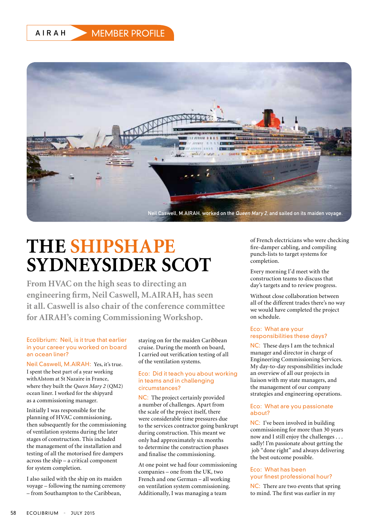AIRAH MEMBER PROFILE



# **THE SHIPSHAPE SYDNEYSIDER SCOT**

**From HVAC on the high seas to directing an engineering firm, Neil Caswell, M.AIRAH, has seen it all. Caswell is also chair of the conference committee for AIRAH's coming Commissioning Workshop.**

# Ecolibrium: Neil, is it true that earlier in your career you worked on board an ocean liner?

Neil Caswell, M.AIRAH: Yes, it's true. I spent the best part of a year working withAlstom at St Nazaire in France, where they built the *Queen Mary 2* (QM2) ocean liner. I worked for the shipyard as a commissioning manager.

Initially I was responsible for the planning of HVAC commissioning, then subsequently for the commissioning of ventilation systems during the later stages of construction. This included the management of the installation and testing of all the motorised fire dampers across the ship – a critical component for system completion.

I also sailed with the ship on its maiden voyage – following the naming ceremony – from Southampton to the Caribbean,

staying on for the maiden Caribbean cruise. During the month on board, I carried out verification testing of all of the ventilation systems.

#### Eco: Did it teach you about working in teams and in challenging circumstances?

NC: The project certainly provided a number of challenges. Apart from the scale of the project itself, there were considerable time pressures due to the services contractor going bankrupt during construction. This meant we only had approximately six months to determine the construction phases and finalise the commissioning.

At one point we had four commissioning companies – one from the UK, two French and one German – all working on ventilation system commissioning. Additionally, I was managing a team

of French electricians who were checking fire-damper cabling, and compiling punch-lists to target systems for completion.

Every morning I'd meet with the construction teams to discuss that day's targets and to review progress.

Without close collaboration between all of the different trades there's no way we would have completed the project on schedule.

# Eco: What are your responsibilities these days?

NC: These days I am the technical manager and director in charge of Engineering Commissioning Services. My day-to-day responsibilities include an overview of all our projects in liaison with my state managers, and the management of our company strategies and engineering operations.

### Eco: What are you passionate about?

NC: I've been involved in building commissioning for more than 30 years now and I still enjoy the challenges . . . sadly! I'm passionate about getting the job "done right" and always delivering the best outcome possible.

# Eco: What has been your finest professional hour?

NC: There are two events that spring to mind. The first was earlier in my